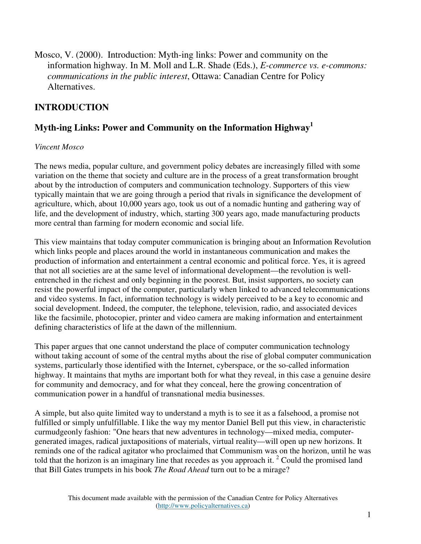Mosco, V. (2000). Introduction: Myth-ing links: Power and community on the information highway*.* In M. Moll and L.R. Shade (Eds.), *E-commerce vs. e-commons: communications in the public interest*, Ottawa: Canadian Centre for Policy Alternatives.

## **INTRODUCTION**

## **Myth-ing Links: Power and Community on the Information Highway<sup>1</sup>**

## *Vincent Mosco*

The news media, popular culture, and government policy debates are increasingly filled with some variation on the theme that society and culture are in the process of a great transformation brought about by the introduction of computers and communication technology. Supporters of this view typically maintain that we are going through a period that rivals in significance the development of agriculture, which, about 10,000 years ago, took us out of a nomadic hunting and gathering way of life, and the development of industry, which, starting 300 years ago, made manufacturing products more central than farming for modern economic and social life.

This view maintains that today computer communication is bringing about an Information Revolution which links people and places around the world in instantaneous communication and makes the production of information and entertainment a central economic and political force. Yes, it is agreed that not all societies are at the same level of informational development—the revolution is wellentrenched in the richest and only beginning in the poorest. But, insist supporters, no society can resist the powerful impact of the computer, particularly when linked to advanced telecommunications and video systems. In fact, information technology is widely perceived to be a key to economic and social development. Indeed, the computer, the telephone, television, radio, and associated devices like the facsimile, photocopier, printer and video camera are making information and entertainment defining characteristics of life at the dawn of the millennium.

This paper argues that one cannot understand the place of computer communication technology without taking account of some of the central myths about the rise of global computer communication systems, particularly those identified with the Internet, cyberspace, or the so-called information highway. It maintains that myths are important both for what they reveal, in this case a genuine desire for community and democracy, and for what they conceal, here the growing concentration of communication power in a handful of transnational media businesses.

A simple, but also quite limited way to understand a myth is to see it as a falsehood, a promise not fulfilled or simply unfulfillable. I like the way my mentor Daniel Bell put this view, in characteristic curmudgeonly fashion: "One hears that new adventures in technology—mixed media, computergenerated images, radical juxtapositions of materials, virtual reality—will open up new horizons. It reminds one of the radical agitator who proclaimed that Communism was on the horizon, until he was told that the horizon is an imaginary line that recedes as you approach it.<sup>2</sup> Could the promised land that Bill Gates trumpets in his book *The Road Ahead* turn out to be a mirage?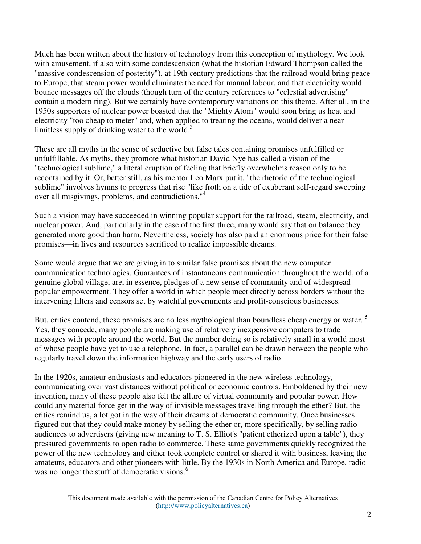Much has been written about the history of technology from this conception of mythology. We look with amusement, if also with some condescension (what the historian Edward Thompson called the "massive condescension of posterity"), at 19th century predictions that the railroad would bring peace to Europe, that steam power would eliminate the need for manual labour, and that electricity would bounce messages off the clouds (though turn of the century references to "celestial advertising" contain a modern ring). But we certainly have contemporary variations on this theme. After all, in the 1950s supporters of nuclear power boasted that the "Mighty Atom" would soon bring us heat and electricity "too cheap to meter" and, when applied to treating the oceans, would deliver a near limitless supply of drinking water to the world. $3$ 

These are all myths in the sense of seductive but false tales containing promises unfulfilled or unfulfillable. As myths, they promote what historian David Nye has called a vision of the "technological sublime," a literal eruption of feeling that briefly overwhelms reason only to be recontained by it. Or, better still, as his mentor Leo Marx put it, "the rhetoric of the technological sublime" involves hymns to progress that rise "like froth on a tide of exuberant self-regard sweeping over all misgivings, problems, and contradictions."<sup>4</sup>

Such a vision may have succeeded in winning popular support for the railroad, steam, electricity, and nuclear power. And, particularly in the case of the first three, many would say that on balance they generated more good than harm. Nevertheless, society has also paid an enormous price for their false promises—in lives and resources sacrificed to realize impossible dreams.

Some would argue that we are giving in to similar false promises about the new computer communication technologies. Guarantees of instantaneous communication throughout the world, of a genuine global village, are, in essence, pledges of a new sense of community and of widespread popular empowerment. They offer a world in which people meet directly across borders without the intervening filters and censors set by watchful governments and profit-conscious businesses.

But, critics contend, these promises are no less mythological than boundless cheap energy or water.<sup>5</sup> Yes, they concede, many people are making use of relatively inexpensive computers to trade messages with people around the world. But the number doing so is relatively small in a world most of whose people have yet to use a telephone. In fact, a parallel can be drawn between the people who regularly travel down the information highway and the early users of radio.

In the 1920s, amateur enthusiasts and educators pioneered in the new wireless technology, communicating over vast distances without political or economic controls. Emboldened by their new invention, many of these people also felt the allure of virtual community and popular power. How could any material force get in the way of invisible messages travelling through the ether? But, the critics remind us, a lot got in the way of their dreams of democratic community. Once businesses figured out that they could make money by selling the ether or, more specifically, by selling radio audiences to advertisers (giving new meaning to T. S. Elliot's "patient etherized upon a table"), they pressured governments to open radio to commerce. These same governments quickly recognized the power of the new technology and either took complete control or shared it with business, leaving the amateurs, educators and other pioneers with little. By the 1930s in North America and Europe, radio was no longer the stuff of democratic visions.<sup>6</sup>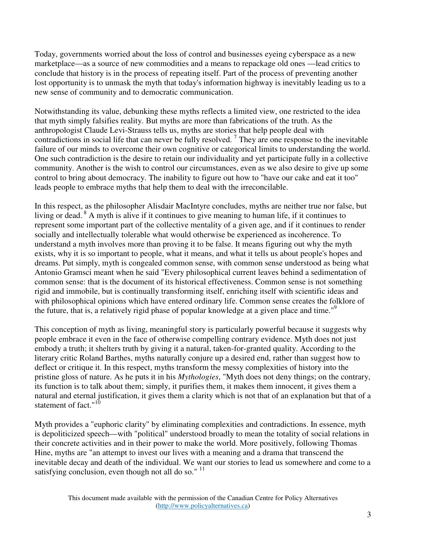Today, governments worried about the loss of control and businesses eyeing cyberspace as a new marketplace—as a source of new commodities and a means to repackage old ones —lead critics to conclude that history is in the process of repeating itself. Part of the process of preventing another lost opportunity is to unmask the myth that today's information highway is inevitably leading us to a new sense of community and to democratic communication.

Notwithstanding its value, debunking these myths reflects a limited view, one restricted to the idea that myth simply falsifies reality. But myths are more than fabrications of the truth. As the anthropologist Claude Levi-Strauss tells us, myths are stories that help people deal with contradictions in social life that can never be fully resolved.<sup>7</sup> They are one response to the inevitable failure of our minds to overcome their own cognitive or categorical limits to understanding the world. One such contradiction is the desire to retain our individuality and yet participate fully in a collective community. Another is the wish to control our circumstances, even as we also desire to give up some control to bring about democracy. The inability to figure out how to "have our cake and eat it too" leads people to embrace myths that help them to deal with the irreconcilable.

In this respect, as the philosopher Alisdair MacIntyre concludes, myths are neither true nor false, but living or dead.<sup>8</sup> A myth is alive if it continues to give meaning to human life, if it continues to represent some important part of the collective mentality of a given age, and if it continues to render socially and intellectually tolerable what would otherwise be experienced as incoherence. To understand a myth involves more than proving it to be false. It means figuring out why the myth exists, why it is so important to people, what it means, and what it tells us about people's hopes and dreams. Put simply, myth is congealed common sense, with common sense understood as being what Antonio Gramsci meant when he said "Every philosophical current leaves behind a sedimentation of common sense: that is the document of its historical effectiveness. Common sense is not something rigid and immobile, but is continually transforming itself, enriching itself with scientific ideas and with philosophical opinions which have entered ordinary life. Common sense creates the folklore of the future, that is, a relatively rigid phase of popular knowledge at a given place and time."<sup>9</sup>

This conception of myth as living, meaningful story is particularly powerful because it suggests why people embrace it even in the face of otherwise compelling contrary evidence. Myth does not just embody a truth; it shelters truth by giving it a natural, taken-for-granted quality. According to the literary critic Roland Barthes, myths naturally conjure up a desired end, rather than suggest how to deflect or critique it. In this respect, myths transform the messy complexities of history into the pristine gloss of nature. As he puts it in his *Mythologies*, "Myth does not deny things; on the contrary, its function is to talk about them; simply, it purifies them, it makes them innocent, it gives them a natural and eternal justification, it gives them a clarity which is not that of an explanation but that of a statement of fact."<sup>10</sup>

Myth provides a "euphoric clarity" by eliminating complexities and contradictions. In essence, myth is depoliticized speech—with "political" understood broadly to mean the totality of social relations in their concrete activities and in their power to make the world. More positively, following Thomas Hine, myths are "an attempt to invest our lives with a meaning and a drama that transcend the inevitable decay and death of the individual. We want our stories to lead us somewhere and come to a satisfying conclusion, even though not all do so." <sup>11</sup>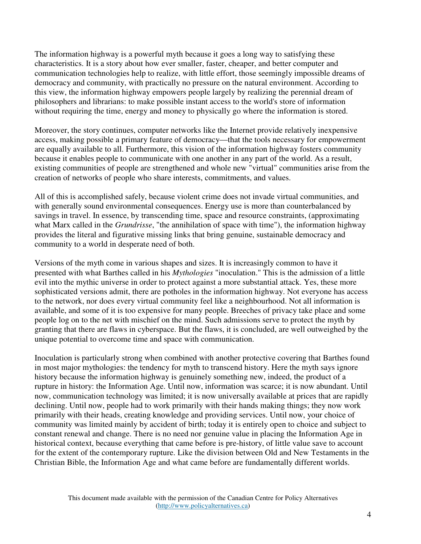The information highway is a powerful myth because it goes a long way to satisfying these characteristics. It is a story about how ever smaller, faster, cheaper, and better computer and communication technologies help to realize, with little effort, those seemingly impossible dreams of democracy and community, with practically no pressure on the natural environment. According to this view, the information highway empowers people largely by realizing the perennial dream of philosophers and librarians: to make possible instant access to the world's store of information without requiring the time, energy and money to physically go where the information is stored.

Moreover, the story continues, computer networks like the Internet provide relatively inexpensive access, making possible a primary feature of democracy—that the tools necessary for empowerment are equally available to all. Furthermore, this vision of the information highway fosters community because it enables people to communicate with one another in any part of the world. As a result, existing communities of people are strengthened and whole new "virtual" communities arise from the creation of networks of people who share interests, commitments, and values.

All of this is accomplished safely, because violent crime does not invade virtual communities, and with generally sound environmental consequences. Energy use is more than counterbalanced by savings in travel. In essence, by transcending time, space and resource constraints, (approximating what Marx called in the *Grundrisse*, "the annihilation of space with time"), the information highway provides the literal and figurative missing links that bring genuine, sustainable democracy and community to a world in desperate need of both.

Versions of the myth come in various shapes and sizes. It is increasingly common to have it presented with what Barthes called in his *Mythologies* "inoculation." This is the admission of a little evil into the mythic universe in order to protect against a more substantial attack. Yes, these more sophisticated versions admit, there are potholes in the information highway. Not everyone has access to the network, nor does every virtual community feel like a neighbourhood. Not all information is available, and some of it is too expensive for many people. Breeches of privacy take place and some people log on to the net with mischief on the mind. Such admissions serve to protect the myth by granting that there are flaws in cyberspace. But the flaws, it is concluded, are well outweighed by the unique potential to overcome time and space with communication.

Inoculation is particularly strong when combined with another protective covering that Barthes found in most major mythologies: the tendency for myth to transcend history. Here the myth says ignore history because the information highway is genuinely something new, indeed, the product of a rupture in history: the Information Age. Until now, information was scarce; it is now abundant. Until now, communication technology was limited; it is now universally available at prices that are rapidly declining. Until now, people had to work primarily with their hands making things; they now work primarily with their heads, creating knowledge and providing services. Until now, your choice of community was limited mainly by accident of birth; today it is entirely open to choice and subject to constant renewal and change. There is no need nor genuine value in placing the Information Age in historical context, because everything that came before is pre-history, of little value save to account for the extent of the contemporary rupture. Like the division between Old and New Testaments in the Christian Bible, the Information Age and what came before are fundamentally different worlds.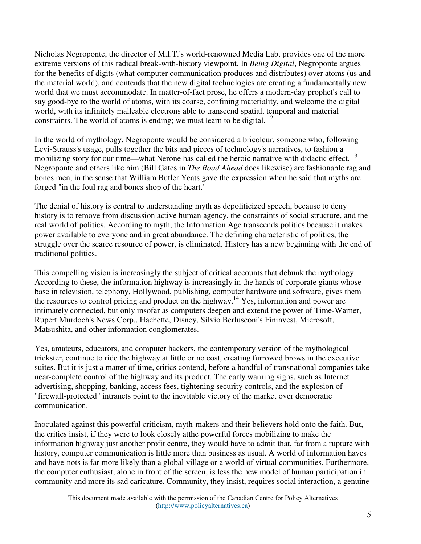Nicholas Negroponte, the director of M.I.T.'s world-renowned Media Lab, provides one of the more extreme versions of this radical break-with-history viewpoint. In *Being Digital*, Negroponte argues for the benefits of digits (what computer communication produces and distributes) over atoms (us and the material world), and contends that the new digital technologies are creating a fundamentally new world that we must accommodate. In matter-of-fact prose, he offers a modern-day prophet's call to say good-bye to the world of atoms, with its coarse, confining materiality, and welcome the digital world, with its infinitely malleable electrons able to transcend spatial, temporal and material constraints. The world of atoms is ending; we must learn to be digital.  $^{12}$ 

In the world of mythology, Negroponte would be considered a bricoleur, someone who, following Levi-Strauss's usage, pulls together the bits and pieces of technology's narratives, to fashion a mobilizing story for our time—what Nerone has called the heroic narrative with didactic effect.<sup>13</sup> Negroponte and others like him (Bill Gates in *The Road Ahead* does likewise) are fashionable rag and bones men, in the sense that William Butler Yeats gave the expression when he said that myths are forged "in the foul rag and bones shop of the heart."

The denial of history is central to understanding myth as depoliticized speech, because to deny history is to remove from discussion active human agency, the constraints of social structure, and the real world of politics. According to myth, the Information Age transcends politics because it makes power available to everyone and in great abundance. The defining characteristic of politics, the struggle over the scarce resource of power, is eliminated. History has a new beginning with the end of traditional politics.

This compelling vision is increasingly the subject of critical accounts that debunk the mythology. According to these, the information highway is increasingly in the hands of corporate giants whose base in television, telephony, Hollywood, publishing, computer hardware and software, gives them the resources to control pricing and product on the highway.<sup>14</sup> Yes, information and power are intimately connected, but only insofar as computers deepen and extend the power of Time-Warner, Rupert Murdoch's News Corp., Hachette, Disney, Silvio Berlusconi's Fininvest, Microsoft, Matsushita, and other information conglomerates.

Yes, amateurs, educators, and computer hackers, the contemporary version of the mythological trickster, continue to ride the highway at little or no cost, creating furrowed brows in the executive suites. But it is just a matter of time, critics contend, before a handful of transnational companies take near-complete control of the highway and its product. The early warning signs, such as Internet advertising, shopping, banking, access fees, tightening security controls, and the explosion of "firewall-protected" intranets point to the inevitable victory of the market over democratic communication.

Inoculated against this powerful criticism, myth-makers and their believers hold onto the faith. But, the critics insist, if they were to look closely atthe powerful forces mobilizing to make the information highway just another profit centre, they would have to admit that, far from a rupture with history, computer communication is little more than business as usual. A world of information haves and have-nots is far more likely than a global village or a world of virtual communities. Furthermore, the computer enthusiast, alone in front of the screen, is less the new model of human participation in community and more its sad caricature. Community, they insist, requires social interaction, a genuine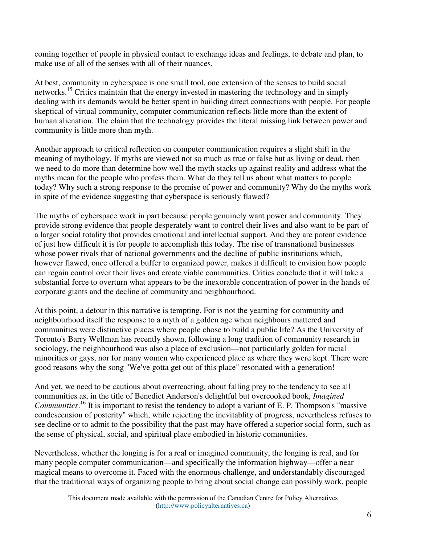coming together of people in physical contact to exchange ideas and feelings, to debate and plan, to make use of all of the senses with all of their nuances.

At best, community in cyberspace is one small tool, one extension of the senses to build social networks.<sup>15</sup> Critics maintain that the energy invested in mastering the technology and in simply dealing with its demands would be better spent in building direct connections with people. For people skeptical of virtual community, computer communication reflects little more than the extent of human alienation. The claim that the technology provides the literal missing link between power and community is little more than myth.

Another approach to critical reflection on computer communication requires a slight shift in the meaning of mythology. If myths are viewed not so much as true or false but as living or dead, then we need to do more than determine how well the myth stacks up against reality and address what the myths mean for the people who profess them. What do they tell us about what matters to people today? Why such a strong response to the promise of power and community? Why do the myths work in spite of the evidence suggesting that cyberspace is seriously flawed?

The myths of cyberspace work in part because people genuinely want power and community. They provide strong evidence that people desperately want to control their lives and also want to be part of a larger social totality that provides emotional and intellectual support. And they are potent evidence of just how difficult it is for people to accomplish this today. The rise of transnational businesses whose power rivals that of national governments and the decline of public institutions which, however flawed, once offered a buffer to organized power, makes it difficult to envision how people can regain control over their lives and create viable communities. Critics conclude that it will take a substantial force to overturn what appears to be the inexorable concentration of power in the hands of corporate giants and the decline of community and neighbourhood.

At this point, a detour in this narrative is tempting. For is not the yearning for community and neighbourhood itself the response to a myth of a golden age when neighbours mattered and communities were distinctive places where people chose to build a public life? As the University of Toronto's Barry Wellman has recently shown, following a long tradition of community research in sociology, the neighbourhood was also a place of exclusion—not particularly golden for racial minorities or gays, nor for many women who experienced place as where they were kept. There were good reasons why the song "We've gotta get out of this place" resonated with a generation!

And yet, we need to be cautious about overreacting, about falling prey to the tendency to see all communities as, in the title of Benedict Anderson's delightful but overcooked book, *Imagined*  Communities.<sup>16</sup> It is important to resist the tendency to adopt a variant of E. P. Thompson's "massive condescension of posterity" which, while rejecting the inevitablity of progress, nevertheless refuses to see decline or to admit to the possibility that the past may have offered a superior social form, such as the sense of physical, social, and spiritual place embodied in historic communities.

Nevertheless, whether the longing is for a real or imagined community, the longing is real, and for many people computer communication—and specifically the information highway—offer a near magical means to overcome it. Faced with the enormous challenge, and understandably discouraged that the traditional ways of organizing people to bring about social change can possibly work, people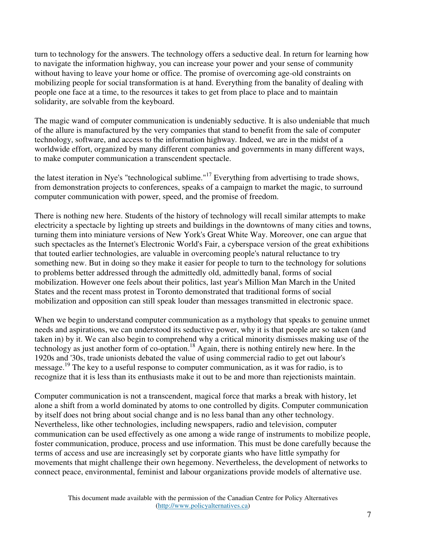turn to technology for the answers. The technology offers a seductive deal. In return for learning how to navigate the information highway, you can increase your power and your sense of community without having to leave your home or office. The promise of overcoming age-old constraints on mobilizing people for social transformation is at hand. Everything from the banality of dealing with people one face at a time, to the resources it takes to get from place to place and to maintain solidarity, are solvable from the keyboard.

The magic wand of computer communication is undeniably seductive. It is also undeniable that much of the allure is manufactured by the very companies that stand to benefit from the sale of computer technology, software, and access to the information highway. Indeed, we are in the midst of a worldwide effort, organized by many different companies and governments in many different ways, to make computer communication a transcendent spectacle.

the latest iteration in Nye's "technological sublime."<sup>17</sup> Everything from advertising to trade shows, from demonstration projects to conferences, speaks of a campaign to market the magic, to surround computer communication with power, speed, and the promise of freedom.

There is nothing new here. Students of the history of technology will recall similar attempts to make electricity a spectacle by lighting up streets and buildings in the downtowns of many cities and towns, turning them into miniature versions of New York's Great White Way. Moreover, one can argue that such spectacles as the Internet's Electronic World's Fair, a cyberspace version of the great exhibitions that touted earlier technologies, are valuable in overcoming people's natural reluctance to try something new. But in doing so they make it easier for people to turn to the technology for solutions to problems better addressed through the admittedly old, admittedly banal, forms of social mobilization. However one feels about their politics, last year's Million Man March in the United States and the recent mass protest in Toronto demonstrated that traditional forms of social mobilization and opposition can still speak louder than messages transmitted in electronic space.

When we begin to understand computer communication as a mythology that speaks to genuine unmet needs and aspirations, we can understood its seductive power, why it is that people are so taken (and taken in) by it. We can also begin to comprehend why a critical minority dismisses making use of the technology as just another form of co-optation.<sup>18</sup> Again, there is nothing entirely new here. In the 1920s and '30s, trade unionists debated the value of using commercial radio to get out labour's message.<sup>19</sup> The key to a useful response to computer communication, as it was for radio, is to recognize that it is less than its enthusiasts make it out to be and more than rejectionists maintain.

Computer communication is not a transcendent, magical force that marks a break with history, let alone a shift from a world dominated by atoms to one controlled by digits. Computer communication by itself does not bring about social change and is no less banal than any other technology. Nevertheless, like other technologies, including newspapers, radio and television, computer communication can be used effectively as one among a wide range of instruments to mobilize people, foster communication, produce, process and use information. This must be done carefully because the terms of access and use are increasingly set by corporate giants who have little sympathy for movements that might challenge their own hegemony. Nevertheless, the development of networks to connect peace, environmental, feminist and labour organizations provide models of alternative use.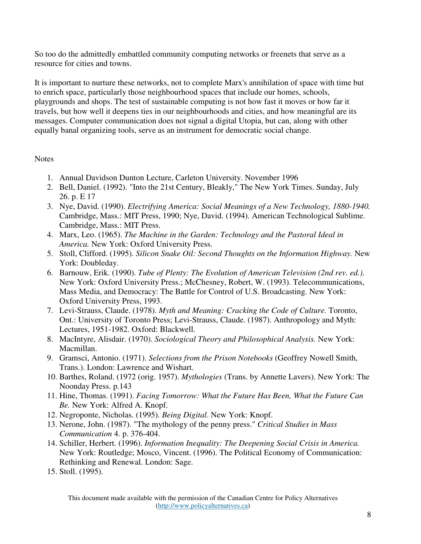So too do the admittedly embattled community computing networks or freenets that serve as a resource for cities and towns.

It is important to nurture these networks, not to complete Marx's annihilation of space with time but to enrich space, particularly those neighbourhood spaces that include our homes, schools, playgrounds and shops. The test of sustainable computing is not how fast it moves or how far it travels, but how well it deepens ties in our neighbourhoods and cities, and how meaningful are its messages. Computer communication does not signal a digital Utopia, but can, along with other equally banal organizing tools, serve as an instrument for democratic social change.

## **Notes**

- 1. Annual Davidson Dunton Lecture, Carleton University. November 1996
- 2. Bell, Daniel. (1992). "Into the 21st Century, Bleakly," The New York Times. Sunday, July 26. p. E 17
- 3. Nye, David. (1990). *Electrifying America: Social Meanings of a New Technology, 1880-1940.* Cambridge, Mass.: MIT Press, 1990; Nye, David. (1994). American Technological Sublime. Cambridge, Mass.: MIT Press.
- 4. Marx, Leo. (1965). *The Machine in the Garden: Technology and the Pastoral Ideal in America.* New York: Oxford University Press.
- 5. Stoll, Clifford. (1995). *Silicon Snake Oil: Second Thoughts on the Information Highway.* New York: Doubleday.
- 6. Barnouw, Erik. (1990). *Tube of Plenty: The Evolution of American Television (2nd rev. ed.)*. New York: Oxford University Press.; McChesney, Robert, W. (1993). Telecommunications, Mass Media, and Democracy: The Battle for Control of U.S. Broadcasting. New York: Oxford University Press, 1993.
- 7. Levi-Strauss, Claude. (1978). *Myth and Meaning: Cracking the Code of Culture.* Toronto, Ont.: University of Toronto Press; Levi-Strauss, Claude. (1987). Anthropology and Myth: Lectures, 1951-1982. Oxford: Blackwell.
- 8. MacIntyre, Alisdair. (1970). *Sociological Theory and Philosophical Analysis.* New York: Macmillan.
- 9. Gramsci, Antonio. (1971). *Selections from the Prison Notebooks* (Geoffrey Nowell Smith, Trans.). London: Lawrence and Wishart.
- 10. Barthes, Roland. (1972 (orig. 1957). *Mythologies* (Trans. by Annette Lavers). New York: The Noonday Press. p.143
- 11. Hine, Thomas. (1991). *Facing Tomorrow: What the Future Has Been, What the Future Can Be.* New York: Alfred A. Knopf.
- 12. Negroponte, Nicholas. (1995). *Being Digital*. New York: Knopf.
- 13. Nerone, John. (1987). "The mythology of the penny press." *Critical Studies in Mass Communication* 4. p. 376-404.
- 14. Schiller, Herbert. (1996). *Information Inequality: The Deepening Social Crisis in America.* New York: Routledge; Mosco, Vincent. (1996). The Political Economy of Communication: Rethinking and Renewal. London: Sage.
- 15. Stoll. (1995).